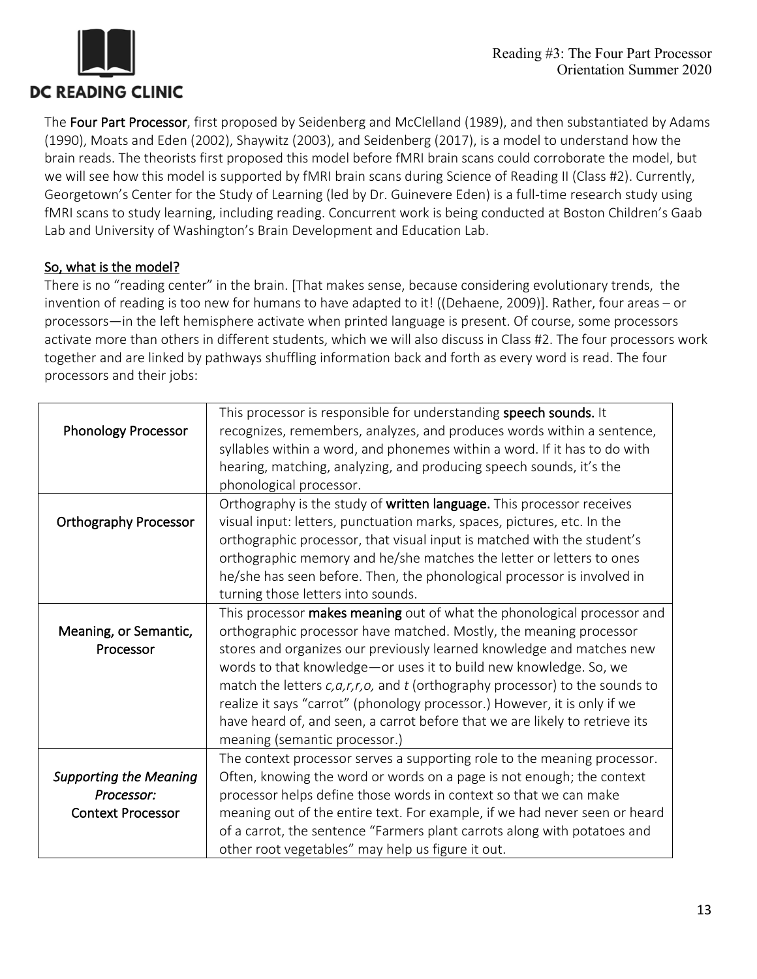

The Four Part Processor, first proposed by Seidenberg and McClelland (1989), and then substantiated by Adams (1990), Moats and Eden (2002), Shaywitz (2003), and Seidenberg (2017), is a model to understand how the brain reads. The theorists first proposed this model before fMRI brain scans could corroborate the model, but we will see how this model is supported by fMRI brain scans during Science of Reading II (Class #2). Currently, Georgetown's Center for the Study of Learning (led by Dr. Guinevere Eden) is a full-time research study using fMRI scans to study learning, including reading. Concurrent work is being conducted at Boston Children's Gaab Lab and University of Washington's Brain Development and Education Lab.

## So, what is the model?

There is no "reading center" in the brain. [That makes sense, because considering evolutionary trends, the invention of reading is too new for humans to have adapted to it! ((Dehaene, 2009)]. Rather, four areas – or processors—in the left hemisphere activate when printed language is present. Of course, some processors activate more than others in different students, which we will also discuss in Class #2. The four processors work together and are linked by pathways shuffling information back and forth as every word is read. The four processors and their jobs:

| <b>Phonology Processor</b>                                              | This processor is responsible for understanding speech sounds. It<br>recognizes, remembers, analyzes, and produces words within a sentence,<br>syllables within a word, and phonemes within a word. If it has to do with<br>hearing, matching, analyzing, and producing speech sounds, it's the<br>phonological processor.                                                                                                                                                                                                                                                     |
|-------------------------------------------------------------------------|--------------------------------------------------------------------------------------------------------------------------------------------------------------------------------------------------------------------------------------------------------------------------------------------------------------------------------------------------------------------------------------------------------------------------------------------------------------------------------------------------------------------------------------------------------------------------------|
| <b>Orthography Processor</b>                                            | Orthography is the study of written language. This processor receives<br>visual input: letters, punctuation marks, spaces, pictures, etc. In the<br>orthographic processor, that visual input is matched with the student's<br>orthographic memory and he/she matches the letter or letters to ones<br>he/she has seen before. Then, the phonological processor is involved in<br>turning those letters into sounds.                                                                                                                                                           |
| Meaning, or Semantic,<br>Processor                                      | This processor makes meaning out of what the phonological processor and<br>orthographic processor have matched. Mostly, the meaning processor<br>stores and organizes our previously learned knowledge and matches new<br>words to that knowledge-or uses it to build new knowledge. So, we<br>match the letters $c, a, r, r, o$ , and t (orthography processor) to the sounds to<br>realize it says "carrot" (phonology processor.) However, it is only if we<br>have heard of, and seen, a carrot before that we are likely to retrieve its<br>meaning (semantic processor.) |
| <b>Supporting the Meaning</b><br>Processor:<br><b>Context Processor</b> | The context processor serves a supporting role to the meaning processor.<br>Often, knowing the word or words on a page is not enough; the context<br>processor helps define those words in context so that we can make<br>meaning out of the entire text. For example, if we had never seen or heard<br>of a carrot, the sentence "Farmers plant carrots along with potatoes and<br>other root vegetables" may help us figure it out.                                                                                                                                          |